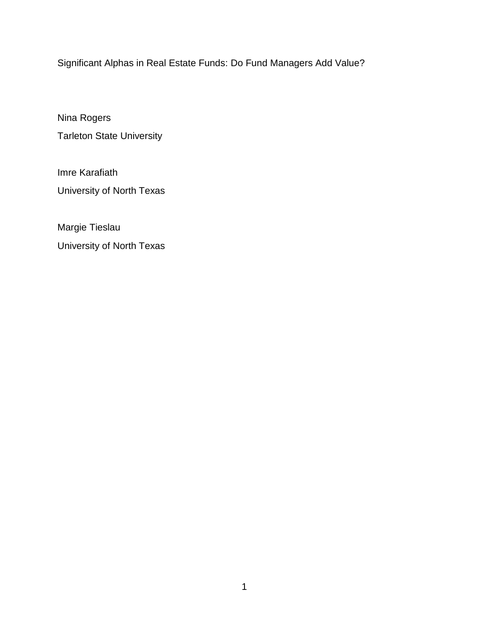Significant Alphas in Real Estate Funds: Do Fund Managers Add Value?

Nina Rogers Tarleton State University

Imre Karafiath University of North Texas

Margie Tieslau University of North Texas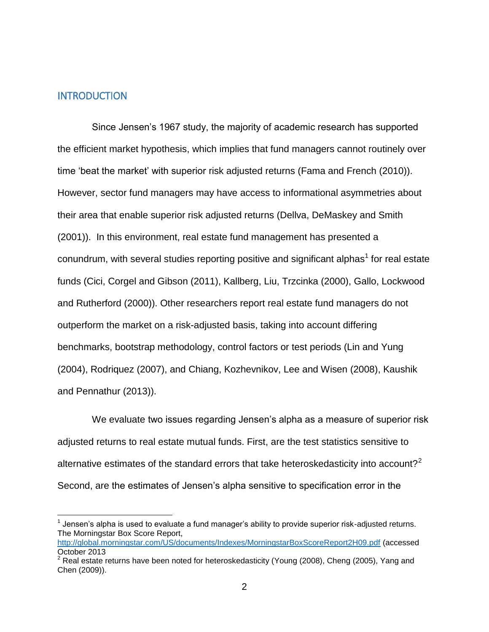## INTRODUCTION

 $\overline{a}$ 

Since Jensen"s 1967 study, the majority of academic research has supported the efficient market hypothesis, which implies that fund managers cannot routinely over time 'beat the market' with superior risk adjusted returns (Fama and French (2010)). However, sector fund managers may have access to informational asymmetries about their area that enable superior risk adjusted returns (Dellva, DeMaskey and Smith (2001)). In this environment, real estate fund management has presented a conundrum, with several studies reporting positive and significant alphas<sup>1</sup> for real estate funds (Cici, Corgel and Gibson (2011), Kallberg, Liu, Trzcinka (2000), Gallo, Lockwood and Rutherford (2000)). Other researchers report real estate fund managers do not outperform the market on a risk-adjusted basis, taking into account differing benchmarks, bootstrap methodology, control factors or test periods (Lin and Yung (2004), Rodriquez (2007), and Chiang, Kozhevnikov, Lee and Wisen (2008), Kaushik and Pennathur (2013)).

We evaluate two issues regarding Jensen's alpha as a measure of superior risk adjusted returns to real estate mutual funds. First, are the test statistics sensitive to alternative estimates of the standard errors that take heteroskedasticity into account?<sup>2</sup> Second, are the estimates of Jensen"s alpha sensitive to specification error in the

 $1$  Jensen's alpha is used to evaluate a fund manager's ability to provide superior risk-adjusted returns. The Morningstar Box Score Report,

<http://global.morningstar.com/US/documents/Indexes/MorningstarBoxScoreReport2H09.pdf> (accessed October 2013

<sup>2</sup> Real estate returns have been noted for heteroskedasticity (Young (2008), Cheng (2005), Yang and Chen (2009)).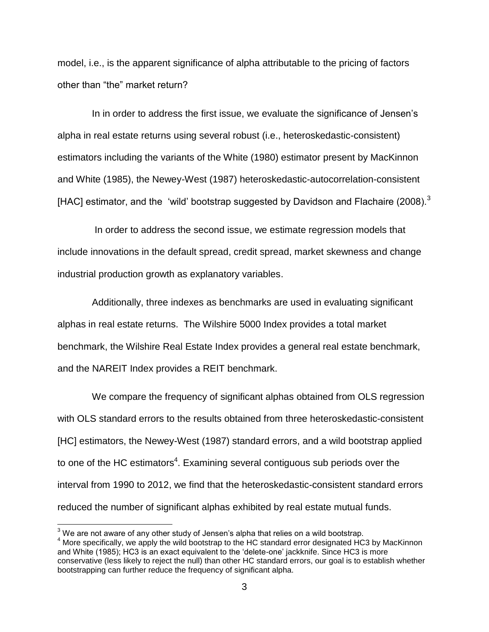model, i.e., is the apparent significance of alpha attributable to the pricing of factors other than "the" market return?

In in order to address the first issue, we evaluate the significance of Jensen"s alpha in real estate returns using several robust (i.e., heteroskedastic-consistent) estimators including the variants of the White (1980) estimator present by MacKinnon and White (1985), the Newey-West (1987) heteroskedastic-autocorrelation-consistent [HAC] estimator, and the 'wild' bootstrap suggested by Davidson and Flachaire (2008).<sup>3</sup>

In order to address the second issue, we estimate regression models that include innovations in the default spread, credit spread, market skewness and change industrial production growth as explanatory variables.

Additionally, three indexes as benchmarks are used in evaluating significant alphas in real estate returns. The Wilshire 5000 Index provides a total market benchmark, the Wilshire Real Estate Index provides a general real estate benchmark, and the NAREIT Index provides a REIT benchmark.

We compare the frequency of significant alphas obtained from OLS regression with OLS standard errors to the results obtained from three heteroskedastic-consistent [HC] estimators, the Newey-West (1987) standard errors, and a wild bootstrap applied to one of the HC estimators<sup>4</sup>. Examining several contiguous sub periods over the interval from 1990 to 2012, we find that the heteroskedastic-consistent standard errors reduced the number of significant alphas exhibited by real estate mutual funds.

 $\overline{a}$ 

 $3$  We are not aware of any other study of Jensen's alpha that relies on a wild bootstrap.

<sup>&</sup>lt;sup>4</sup> More specifically, we apply the wild bootstrap to the HC standard error designated HC3 by MacKinnon and White (1985); HC3 is an exact equivalent to the "delete-one" jackknife. Since HC3 is more conservative (less likely to reject the null) than other HC standard errors, our goal is to establish whether bootstrapping can further reduce the frequency of significant alpha.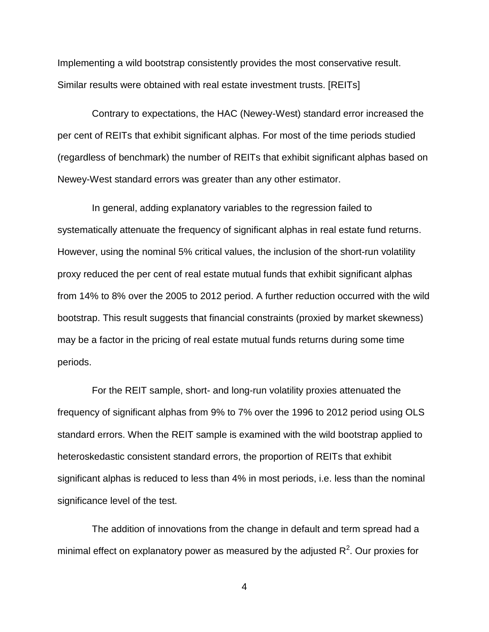Implementing a wild bootstrap consistently provides the most conservative result. Similar results were obtained with real estate investment trusts. [REITs]

Contrary to expectations, the HAC (Newey-West) standard error increased the per cent of REITs that exhibit significant alphas. For most of the time periods studied (regardless of benchmark) the number of REITs that exhibit significant alphas based on Newey-West standard errors was greater than any other estimator.

In general, adding explanatory variables to the regression failed to systematically attenuate the frequency of significant alphas in real estate fund returns. However, using the nominal 5% critical values, the inclusion of the short-run volatility proxy reduced the per cent of real estate mutual funds that exhibit significant alphas from 14% to 8% over the 2005 to 2012 period. A further reduction occurred with the wild bootstrap. This result suggests that financial constraints (proxied by market skewness) may be a factor in the pricing of real estate mutual funds returns during some time periods.

For the REIT sample, short- and long-run volatility proxies attenuated the frequency of significant alphas from 9% to 7% over the 1996 to 2012 period using OLS standard errors. When the REIT sample is examined with the wild bootstrap applied to heteroskedastic consistent standard errors, the proportion of REITs that exhibit significant alphas is reduced to less than 4% in most periods, i.e. less than the nominal significance level of the test.

The addition of innovations from the change in default and term spread had a minimal effect on explanatory power as measured by the adjusted  $R^2$ . Our proxies for

4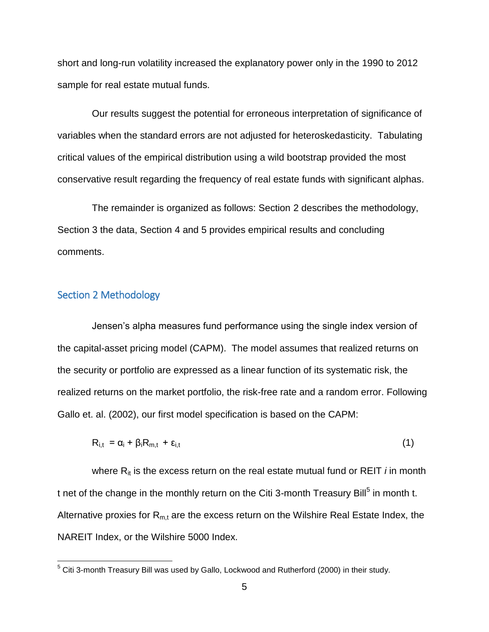short and long-run volatility increased the explanatory power only in the 1990 to 2012 sample for real estate mutual funds.

Our results suggest the potential for erroneous interpretation of significance of variables when the standard errors are not adjusted for heteroskedasticity. Tabulating critical values of the empirical distribution using a wild bootstrap provided the most conservative result regarding the frequency of real estate funds with significant alphas.

The remainder is organized as follows: Section 2 describes the methodology, Section 3 the data, Section 4 and 5 provides empirical results and concluding comments.

# Section 2 Methodology

 $\overline{a}$ 

Jensen"s alpha measures fund performance using the single index version of the capital-asset pricing model (CAPM). The model assumes that realized returns on the security or portfolio are expressed as a linear function of its systematic risk, the realized returns on the market portfolio, the risk-free rate and a random error. Following Gallo et. al. (2002), our first model specification is based on the CAPM:

$$
R_{i,t} = \alpha_i + \beta_i R_{m,t} + \varepsilon_{i,t} \tag{1}
$$

where R<sub>it</sub> is the excess return on the real estate mutual fund or REIT *i* in month t net of the change in the monthly return on the Citi 3-month Treasury Bill<sup>5</sup> in month t. Alternative proxies for  $R_{m,t}$  are the excess return on the Wilshire Real Estate Index, the NAREIT Index, or the Wilshire 5000 Index.

 $^5$  Citi 3-month Treasury Bill was used by Gallo, Lockwood and Rutherford (2000) in their study.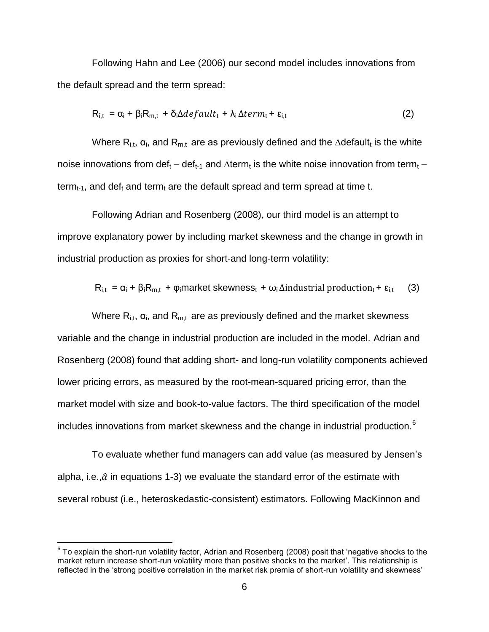Following Hahn and Lee (2006) our second model includes innovations from the default spread and the term spread:

$$
R_{i,t} = \alpha_i + \beta_i R_{m,t} + \delta_i \Delta \text{default}_t + \lambda_i \Delta \text{term}_t + \epsilon_{i,t}
$$
 (2)

Where R<sub>i,t</sub>,  $\alpha_i$ , and R<sub>m,t</sub> are as previously defined and the ∆default<sub>t</sub> is the white noise innovations from def<sub>t</sub> – def<sub>t-1</sub> and ∆term<sub>t</sub> is the white noise innovation from term<sub>t</sub> – term<sub>t-1</sub>, and def<sub>t</sub> and term<sub>t</sub> are the default spread and term spread at time t.

Following Adrian and Rosenberg (2008), our third model is an attempt to improve explanatory power by including market skewness and the change in growth in industrial production as proxies for short-and long-term volatility:

$$
R_{i,t} = \alpha_i + \beta_i R_{m,t} + \varphi_i
$$
 market skewness<sub>t</sub> +  $\omega_i$   $\Delta$  industrial production<sub>t</sub> +  $\epsilon_{i,t}$  (3)

Where  $R_{i,t}$ ,  $\alpha_i$ , and  $R_{m,t}$  are as previously defined and the market skewness variable and the change in industrial production are included in the model. Adrian and Rosenberg (2008) found that adding short- and long-run volatility components achieved lower pricing errors, as measured by the root-mean-squared pricing error, than the market model with size and book-to-value factors. The third specification of the model includes innovations from market skewness and the change in industrial production.<sup>6</sup>

To evaluate whether fund managers can add value (as measured by Jensen"s alpha, i.e., $\hat{\alpha}$  in equations 1-3) we evaluate the standard error of the estimate with several robust (i.e., heteroskedastic-consistent) estimators. Following MacKinnon and

 $\overline{a}$ 

 $^6$  To explain the short-run volatility factor, Adrian and Rosenberg (2008) posit that 'negative shocks to the market return increase short-run volatility more than positive shocks to the market". This relationship is reflected in the 'strong positive correlation in the market risk premia of short-run volatility and skewness'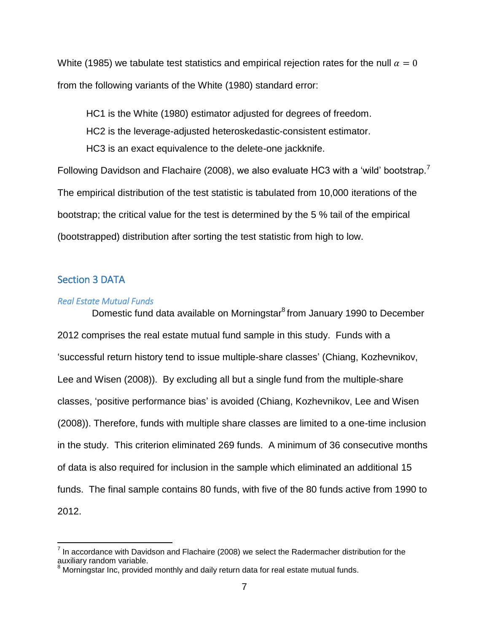White (1985) we tabulate test statistics and empirical rejection rates for the null  $\alpha = 0$ from the following variants of the White (1980) standard error:

HC1 is the White (1980) estimator adjusted for degrees of freedom. HC2 is the leverage-adjusted heteroskedastic-consistent estimator. HC3 is an exact equivalence to the delete-one jackknife.

Following Davidson and Flachaire (2008), we also evaluate HC3 with a 'wild' bootstrap.<sup>7</sup> The empirical distribution of the test statistic is tabulated from 10,000 iterations of the bootstrap; the critical value for the test is determined by the 5 % tail of the empirical (bootstrapped) distribution after sorting the test statistic from high to low.

## Section 3 DATA

 $\overline{a}$ 

### *Real Estate Mutual Funds*

Domestic fund data available on Morningstar<sup>8</sup> from January 1990 to December 2012 comprises the real estate mutual fund sample in this study. Funds with a "successful return history tend to issue multiple-share classes" (Chiang, Kozhevnikov, Lee and Wisen (2008)). By excluding all but a single fund from the multiple-share classes, "positive performance bias" is avoided (Chiang, Kozhevnikov, Lee and Wisen (2008)). Therefore, funds with multiple share classes are limited to a one-time inclusion in the study. This criterion eliminated 269 funds. A minimum of 36 consecutive months of data is also required for inclusion in the sample which eliminated an additional 15 funds. The final sample contains 80 funds, with five of the 80 funds active from 1990 to 2012.

 $<sup>7</sup>$  In accordance with Davidson and Flachaire (2008) we select the Radermacher distribution for the</sup> auxiliary random variable.

Morningstar Inc, provided monthly and daily return data for real estate mutual funds.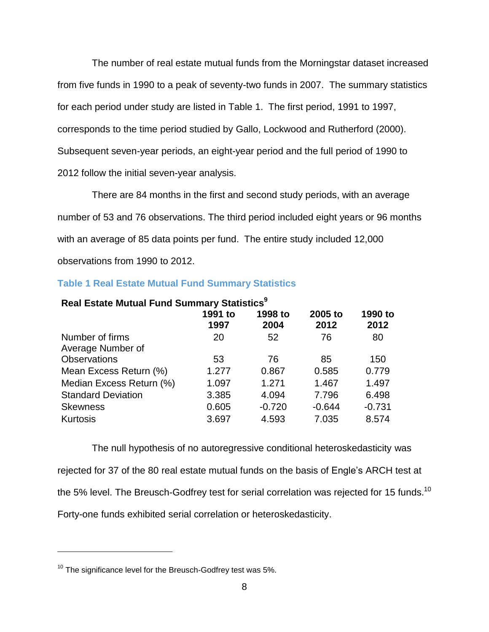The number of real estate mutual funds from the Morningstar dataset increased from five funds in 1990 to a peak of seventy-two funds in 2007. The summary statistics for each period under study are listed in [Table 1.](#page-7-0) The first period, 1991 to 1997, corresponds to the time period studied by Gallo, Lockwood and Rutherford (2000). Subsequent seven-year periods, an eight-year period and the full period of 1990 to 2012 follow the initial seven-year analysis.

There are 84 months in the first and second study periods, with an average number of 53 and 76 observations. The third period included eight years or 96 months with an average of 85 data points per fund. The entire study included 12,000 observations from 1990 to 2012.

<span id="page-7-0"></span>

|  |  |  | <b>Table 1 Real Estate Mutual Fund Summary Statistics</b> |  |
|--|--|--|-----------------------------------------------------------|--|
|  |  |  |                                                           |  |

| Real Estate Mutual Fund Summary Statistics <sup>9</sup>                  |       |          |          |          |  |  |  |  |
|--------------------------------------------------------------------------|-------|----------|----------|----------|--|--|--|--|
| 1998 to<br>1991 to<br>2005 to<br>1990 to<br>2012<br>1997<br>2004<br>2012 |       |          |          |          |  |  |  |  |
| Number of firms<br>Average Number of                                     | 20    | 52       | 76       | 80       |  |  |  |  |
| <b>Observations</b>                                                      | 53    | 76       | 85       | 150      |  |  |  |  |
| Mean Excess Return (%)                                                   | 1.277 | 0.867    | 0.585    | 0.779    |  |  |  |  |
| Median Excess Return (%)                                                 | 1.097 | 1.271    | 1.467    | 1.497    |  |  |  |  |
| <b>Standard Deviation</b>                                                | 3.385 | 4.094    | 7.796    | 6.498    |  |  |  |  |
| <b>Skewness</b>                                                          | 0.605 | $-0.720$ | $-0.644$ | $-0.731$ |  |  |  |  |
| Kurtosis                                                                 | 3.697 | 4.593    | 7.035    | 8.574    |  |  |  |  |

The null hypothesis of no autoregressive conditional heteroskedasticity was rejected for 37 of the 80 real estate mutual funds on the basis of Engle"s ARCH test at the 5% level. The Breusch-Godfrey test for serial correlation was rejected for 15 funds. $^{10}$ Forty-one funds exhibited serial correlation or heteroskedasticity.

 $\overline{a}$ 

 $10$  The significance level for the Breusch-Godfrey test was 5%.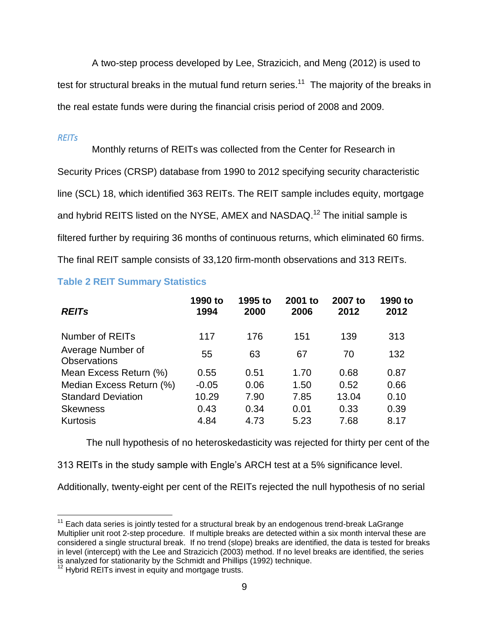A two-step process developed by Lee, Strazicich, and Meng (2012) is used to test for structural breaks in the mutual fund return series.<sup>11</sup> The majority of the breaks in the real estate funds were during the financial crisis period of 2008 and 2009.

## *REITs*

Monthly returns of REITs was collected from the Center for Research in Security Prices (CRSP) database from 1990 to 2012 specifying security characteristic line (SCL) 18, which identified 363 REITs. The REIT sample includes equity, mortgage and hybrid REITS listed on the NYSE, AMEX and NASDAQ.<sup>12</sup> The initial sample is filtered further by requiring 36 months of continuous returns, which eliminated 60 firms. The final REIT sample consists of 33,120 firm-month observations and 313 REITs.

# **Table 2 REIT Summary Statistics**

| <b>REITs</b>                             | 1990 to<br>1994 | 1995 to<br>2000 | 2001 to<br>2006 | 2007 to<br>2012 | 1990 to<br>2012 |
|------------------------------------------|-----------------|-----------------|-----------------|-----------------|-----------------|
| Number of REITs                          | 117             | 176             | 151             | 139             | 313             |
| Average Number of<br><b>Observations</b> | 55              | 63              | 67              | 70              | 132             |
| Mean Excess Return (%)                   | 0.55            | 0.51            | 1.70            | 0.68            | 0.87            |
| Median Excess Return (%)                 | $-0.05$         | 0.06            | 1.50            | 0.52            | 0.66            |
| <b>Standard Deviation</b>                | 10.29           | 7.90            | 7.85            | 13.04           | 0.10            |
| <b>Skewness</b>                          | 0.43            | 0.34            | 0.01            | 0.33            | 0.39            |
| Kurtosis                                 | 4.84            | 4.73            | 5.23            | 7.68            | 8.17            |

The null hypothesis of no heteroskedasticity was rejected for thirty per cent of the

313 REITs in the study sample with Engle"s ARCH test at a 5% significance level.

Additionally, twenty-eight per cent of the REITs rejected the null hypothesis of no serial

 $\overline{a}$  $11$  Each data series is jointly tested for a structural break by an endogenous trend-break LaGrange Multiplier unit root 2-step procedure. If multiple breaks are detected within a six month interval these are considered a single structural break. If no trend (slope) breaks are identified, the data is tested for breaks in level (intercept) with the Lee and Strazicich (2003) method. If no level breaks are identified, the series is analyzed for stationarity by the Schmidt and Phillips (1992) technique.

Hybrid REITs invest in equity and mortgage trusts.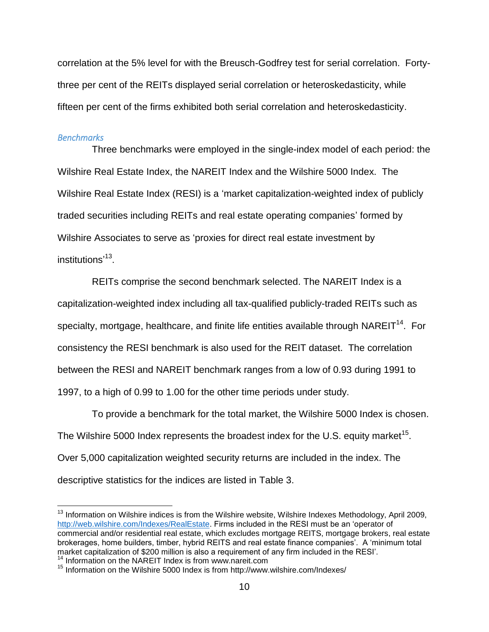correlation at the 5% level for with the Breusch-Godfrey test for serial correlation. Fortythree per cent of the REITs displayed serial correlation or heteroskedasticity, while fifteen per cent of the firms exhibited both serial correlation and heteroskedasticity.

#### *Benchmarks*

 $\overline{a}$ 

Three benchmarks were employed in the single-index model of each period: the Wilshire Real Estate Index, the NAREIT Index and the Wilshire 5000 Index. The Wilshire Real Estate Index (RESI) is a "market capitalization-weighted index of publicly traded securities including REITs and real estate operating companies" formed by Wilshire Associates to serve as "proxies for direct real estate investment by institutions'<sup>13</sup>.

REITs comprise the second benchmark selected. The NAREIT Index is a capitalization-weighted index including all tax-qualified publicly-traded REITs such as specialty, mortgage, healthcare, and finite life entities available through NAREIT<sup>14</sup>. For consistency the RESI benchmark is also used for the REIT dataset. The correlation between the RESI and NAREIT benchmark ranges from a low of 0.93 during 1991 to 1997, to a high of 0.99 to 1.00 for the other time periods under study.

To provide a benchmark for the total market, the Wilshire 5000 Index is chosen. The Wilshire 5000 Index represents the broadest index for the U.S. equity market<sup>15</sup>. Over 5,000 capitalization weighted security returns are included in the index. The descriptive statistics for the indices are listed in [Table 3.](#page-10-0)

<sup>&</sup>lt;sup>13</sup> Information on Wilshire indices is from the Wilshire website, Wilshire Indexes Methodology, April 2009, [http://web.wilshire.com/Indexes/RealEstate.](http://web.wilshire.com/Indexes/RealEstate) Firms included in the RESI must be an "operator of commercial and/or residential real estate, which excludes mortgage REITS, mortgage brokers, real estate brokerages, home builders, timber, hybrid REITS and real estate finance companies". A "minimum total market capitalization of \$200 million is also a requirement of any firm included in the RESI". <sup>14</sup> Information on the NAREIT Index is from www.nareit.com

<sup>15</sup> Information on the Wilshire 5000 Index is from http://www.wilshire.com/Indexes/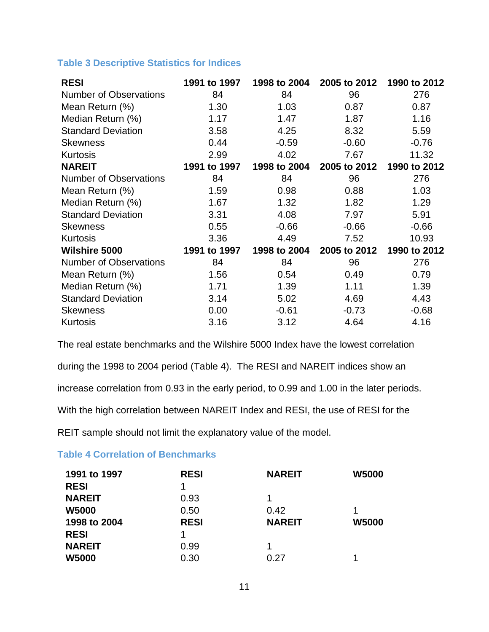# <span id="page-10-0"></span>**Table 3 Descriptive Statistics for Indices**

| <b>RESI</b>                   | 1991 to 1997 | 1998 to 2004 | 2005 to 2012 | 1990 to 2012 |
|-------------------------------|--------------|--------------|--------------|--------------|
| <b>Number of Observations</b> | 84           | 84           | 96           | 276          |
| Mean Return (%)               | 1.30         | 1.03         | 0.87         | 0.87         |
| Median Return (%)             | 1.17         | 1.47         | 1.87         | 1.16         |
| <b>Standard Deviation</b>     | 3.58         | 4.25         | 8.32         | 5.59         |
| <b>Skewness</b>               | 0.44         | $-0.59$      | $-0.60$      | $-0.76$      |
| Kurtosis                      | 2.99         | 4.02         | 7.67         | 11.32        |
| <b>NAREIT</b>                 | 1991 to 1997 | 1998 to 2004 | 2005 to 2012 | 1990 to 2012 |
| <b>Number of Observations</b> | 84           | 84           | 96           | 276          |
| Mean Return (%)               | 1.59         | 0.98         | 0.88         | 1.03         |
| Median Return (%)             | 1.67         | 1.32         | 1.82         | 1.29         |
| <b>Standard Deviation</b>     | 3.31         | 4.08         | 7.97         | 5.91         |
| <b>Skewness</b>               | 0.55         | $-0.66$      | $-0.66$      | $-0.66$      |
| <b>Kurtosis</b>               | 3.36         | 4.49         | 7.52         | 10.93        |
| Wilshire 5000                 | 1991 to 1997 | 1998 to 2004 | 2005 to 2012 | 1990 to 2012 |
| <b>Number of Observations</b> | 84           | 84           | 96           | 276          |
| Mean Return (%)               | 1.56         | 0.54         | 0.49         | 0.79         |
| Median Return (%)             | 1.71         | 1.39         | 1.11         | 1.39         |
| <b>Standard Deviation</b>     | 3.14         | 5.02         | 4.69         | 4.43         |
| <b>Skewness</b>               | 0.00         | $-0.61$      | $-0.73$      | $-0.68$      |
| <b>Kurtosis</b>               | 3.16         | 3.12         | 4.64         | 4.16         |

The real estate benchmarks and the Wilshire 5000 Index have the lowest correlation during the 1998 to 2004 period [\(Table 4\)](#page-10-1). The RESI and NAREIT indices show an increase correlation from 0.93 in the early period, to 0.99 and 1.00 in the later periods. With the high correlation between NAREIT Index and RESI, the use of RESI for the REIT sample should not limit the explanatory value of the model.

# <span id="page-10-1"></span>**Table 4 Correlation of Benchmarks**

| 1991 to 1997  | <b>RESI</b> | <b>NAREIT</b> | <b>W5000</b> |
|---------------|-------------|---------------|--------------|
| <b>RESI</b>   |             |               |              |
| <b>NAREIT</b> | 0.93        |               |              |
| <b>W5000</b>  | 0.50        | 0.42          |              |
| 1998 to 2004  | <b>RESI</b> | <b>NAREIT</b> | <b>W5000</b> |
| <b>RESI</b>   |             |               |              |
| <b>NAREIT</b> | 0.99        |               |              |
| <b>W5000</b>  | 0.30        | 0.27          |              |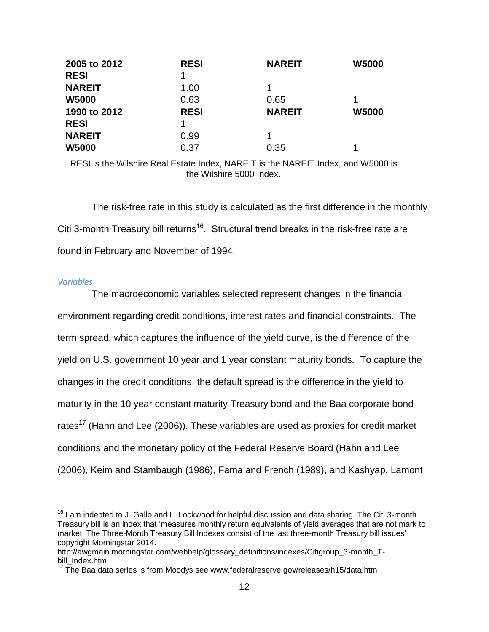| 2005 to 2012  | <b>RESI</b> | <b>NAREIT</b> | <b>W5000</b> |
|---------------|-------------|---------------|--------------|
| <b>RESI</b>   |             |               |              |
| <b>NAREIT</b> | 1.00        |               |              |
| <b>W5000</b>  | 0.63        | 0.65          |              |
| 1990 to 2012  | <b>RESI</b> | <b>NAREIT</b> | <b>W5000</b> |
| <b>RESI</b>   |             |               |              |
| <b>NAREIT</b> | 0.99        |               |              |
| <b>W5000</b>  | 0.37        | 0.35          |              |

RESI is the Wilshire Real Estate Index, NAREIT is the NAREIT Index, and W5000 is the Wilshire 5000 Index.

The risk-free rate in this study is calculated as the first difference in the monthly Citi 3-month Treasury bill returns<sup>16</sup>. Structural trend breaks in the risk-free rate are found in February and November of 1994.

### *Variables*

 $\overline{a}$ 

The macroeconomic variables selected represent changes in the financial environment regarding credit conditions, interest rates and financial constraints. The term spread, which captures the influence of the yield curve, is the difference of the yield on U.S. government 10 year and 1 year constant maturity bonds. To capture the changes in the credit conditions, the default spread is the difference in the yield to maturity in the 10 year constant maturity Treasury bond and the Baa corporate bond rates<sup>17</sup> (Hahn and Lee (2006)). These variables are used as proxies for credit market conditions and the monetary policy of the Federal Reserve Board (Hahn and Lee (2006), Keim and Stambaugh (1986), Fama and French (1989), and Kashyap, Lamont

 $16$  I am indebted to J. Gallo and L. Lockwood for helpful discussion and data sharing. The Citi 3-month Treasury bill is an index that "measures monthly return equivalents of yield averages that are not mark to market. The Three-Month Treasury Bill Indexes consist of the last three-month Treasury bill issues" copyright Morningstar 2014.

http://awgmain.morningstar.com/webhelp/glossary\_definitions/indexes/Citigroup\_3-month\_Tbill\_Index.htm

 $17$  The Baa data series is from Moodys see www.federalreserve.gov/releases/h15/data.htm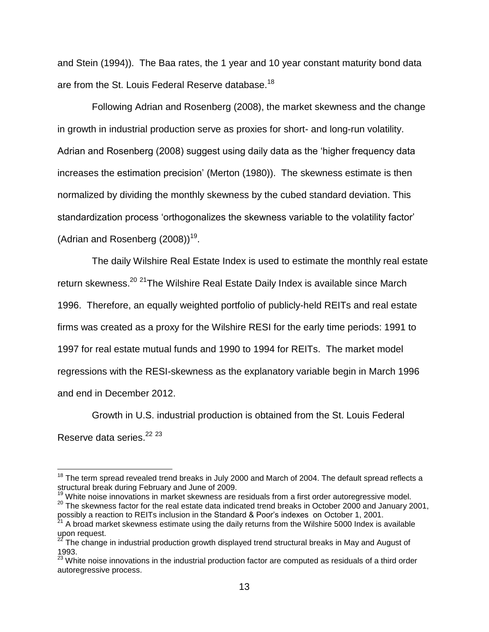and Stein (1994)). The Baa rates, the 1 year and 10 year constant maturity bond data are from the St. Louis Federal Reserve database.<sup>18</sup>

Following Adrian and Rosenberg (2008), the market skewness and the change in growth in industrial production serve as proxies for short- and long-run volatility. Adrian and Rosenberg (2008) suggest using daily data as the "higher frequency data increases the estimation precision' (Merton (1980)). The skewness estimate is then normalized by dividing the monthly skewness by the cubed standard deviation. This standardization process 'orthogonalizes the skewness variable to the volatility factor' (Adrian and Rosenberg  $(2008)$ )<sup>19</sup>.

The daily Wilshire Real Estate Index is used to estimate the monthly real estate return skewness.<sup>20</sup> <sup>21</sup>The Wilshire Real Estate Daily Index is available since March 1996. Therefore, an equally weighted portfolio of publicly-held REITs and real estate firms was created as a proxy for the Wilshire RESI for the early time periods: 1991 to 1997 for real estate mutual funds and 1990 to 1994 for REITs. The market model regressions with the RESI-skewness as the explanatory variable begin in March 1996 and end in December 2012.

Growth in U.S. industrial production is obtained from the St. Louis Federal Reserve data series.<sup>22</sup> <sup>23</sup>

 $\overline{a}$ 

 $18$  The term spread revealed trend breaks in July 2000 and March of 2004. The default spread reflects a structural break during February and June of 2009.

<sup>&</sup>lt;sup>19</sup> White noise innovations in market skewness are residuals from a first order autoregressive model. <sup>20</sup> The skewness factor for the real estate data indicated trend breaks in October 2000 and January 2001,

possibly a reaction to REITs inclusion in the Standard & Poor"s indexes on October 1, 2001.

<sup>&</sup>lt;sup>21</sup> A broad market skewness estimate using the daily returns from the Wilshire 5000 Index is available upon request.

 $^{22}$  The change in industrial production growth displayed trend structural breaks in May and August of 1993.

<sup>&</sup>lt;sup>23</sup> White noise innovations in the industrial production factor are computed as residuals of a third order autoregressive process.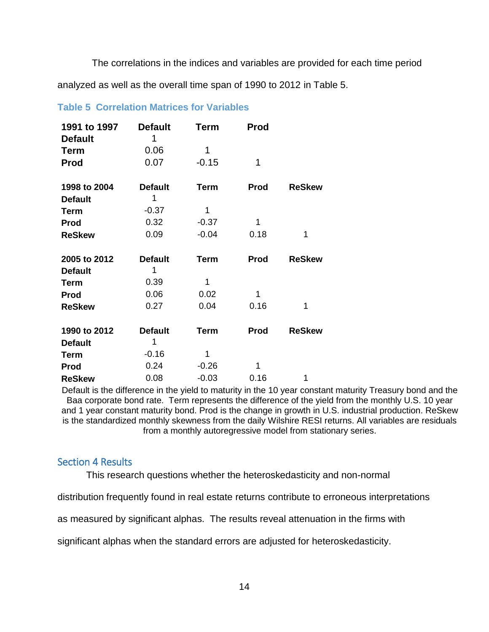The correlations in the indices and variables are provided for each time period

analyzed as well as the overall time span of 1990 to 2012 in [Table 5.](#page-13-0)

| 1991 to 1997<br><b>Default</b> | <b>Default</b><br>1 | Term        | <b>Prod</b> |               |
|--------------------------------|---------------------|-------------|-------------|---------------|
| <b>Term</b>                    | 0.06                | 1           |             |               |
| <b>Prod</b>                    | 0.07                | $-0.15$     | 1           |               |
| 1998 to 2004                   | <b>Default</b>      | <b>Term</b> | <b>Prod</b> | <b>ReSkew</b> |
| <b>Default</b>                 | 1                   |             |             |               |
| Term                           | $-0.37$             | 1           |             |               |
| <b>Prod</b>                    | 0.32                | $-0.37$     | 1           |               |
| <b>ReSkew</b>                  | 0.09                | $-0.04$     | 0.18        | 1             |
|                                |                     |             |             |               |
| 2005 to 2012                   | <b>Default</b>      | <b>Term</b> | Prod        | <b>ReSkew</b> |
| <b>Default</b>                 | 1                   |             |             |               |
| Term                           | 0.39                | 1           |             |               |
| <b>Prod</b>                    | 0.06                | 0.02        | 1           |               |
| <b>ReSkew</b>                  | 0.27                | 0.04        | 0.16        | 1             |
| 1990 to 2012                   | <b>Default</b>      | <b>Term</b> | <b>Prod</b> | <b>ReSkew</b> |
| <b>Default</b>                 | 1                   |             |             |               |
| <b>Term</b>                    | $-0.16$             | 1           |             |               |
| <b>Prod</b>                    | 0.24                | $-0.26$     | 1           |               |

# <span id="page-13-0"></span>**Table 5 Correlation Matrices for Variables**

Default is the difference in the yield to maturity in the 10 year constant maturity Treasury bond and the Baa corporate bond rate. Term represents the difference of the yield from the monthly U.S. 10 year and 1 year constant maturity bond. Prod is the change in growth in U.S. industrial production. ReSkew is the standardized monthly skewness from the daily Wilshire RESI returns. All variables are residuals from a monthly autoregressive model from stationary series.

# Section 4 Results

This research questions whether the heteroskedasticity and non-normal

distribution frequently found in real estate returns contribute to erroneous interpretations

as measured by significant alphas. The results reveal attenuation in the firms with

significant alphas when the standard errors are adjusted for heteroskedasticity.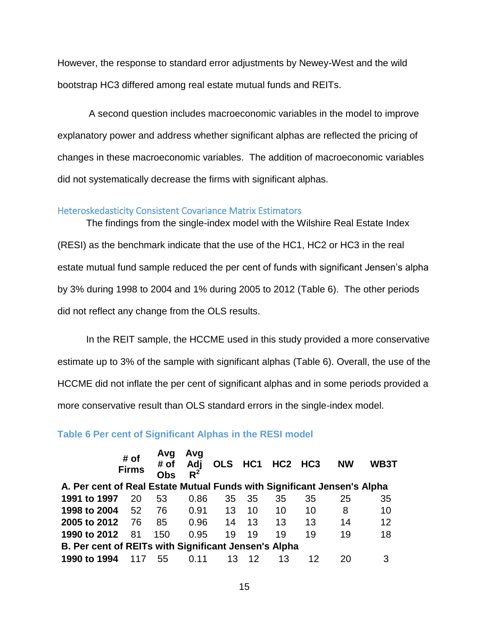However, the response to standard error adjustments by Newey-West and the wild bootstrap HC3 differed among real estate mutual funds and REITs.

A second question includes macroeconomic variables in the model to improve explanatory power and address whether significant alphas are reflected the pricing of changes in these macroeconomic variables. The addition of macroeconomic variables did not systematically decrease the firms with significant alphas.

### Heteroskedasticity Consistent Covariance Matrix Estimators

The findings from the single-index model with the Wilshire Real Estate Index (RESI) as the benchmark indicate that the use of the HC1, HC2 or HC3 in the real estate mutual fund sample reduced the per cent of funds with significant Jensen"s alpha by 3% during 1998 to 2004 and 1% during 2005 to 2012 [\(Table 6\)](#page-14-0). The other periods did not reflect any change from the OLS results.

In the REIT sample, the HCCME used in this study provided a more conservative estimate up to 3% of the sample with significant alphas (Table 6). Overall, the use of the HCCME did not inflate the per cent of significant alphas and in some periods provided a more conservative result than OLS standard errors in the single-index model.

## <span id="page-14-0"></span>**Table 6 Per cent of Significant Alphas in the RESI model**

|                                                                         | # of<br><b>Firms</b> | Avg<br># of<br><b>Obs</b> | Avg<br>Adj<br>$R^2$ |    |     | OLS HC1 HC2 HC3 |    | <b>NW</b> | WB3T |
|-------------------------------------------------------------------------|----------------------|---------------------------|---------------------|----|-----|-----------------|----|-----------|------|
| A. Per cent of Real Estate Mutual Funds with Significant Jensen's Alpha |                      |                           |                     |    |     |                 |    |           |      |
| 1991 to 1997                                                            | 20                   | 53                        | 0.86                | 35 | -35 | 35              | 35 | 25        | 35   |
| 1998 to 2004                                                            | 52                   | 76                        | 0.91                | 13 | 10  | 10              | 10 | 8         | 10   |
| 2005 to 2012                                                            | 76                   | 85                        | 0.96                | 14 | 13  | 13              | 13 | 14        | 12   |
| 1990 to 2012                                                            | 81                   | 150                       | 0.95                | 19 | 19  | 19              | 19 | 19        | 18   |
| B. Per cent of REITs with Significant Jensen's Alpha                    |                      |                           |                     |    |     |                 |    |           |      |
| 1990 to 1994                                                            | 117                  | 55                        | 0.11                | 13 | 12  | 13              | 12 | 20        | 3    |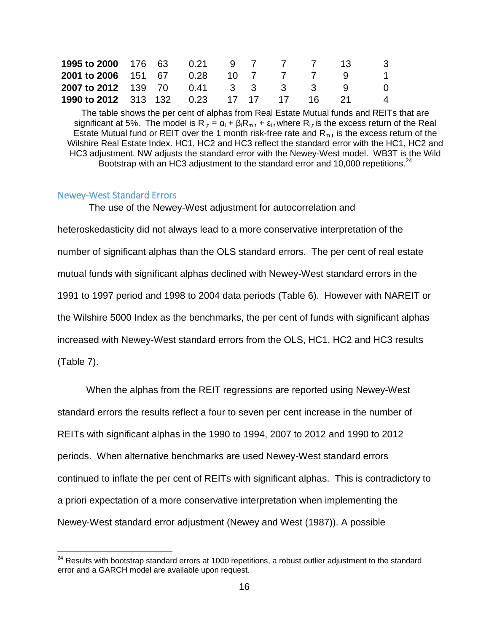| <b>1995 to 2000</b> 176 63 0.21 9 7             |  |  | 7 7 13 |  | - 3         |
|-------------------------------------------------|--|--|--------|--|-------------|
| <b>2001 to 2006</b> 151 67 0.28 10 7 7 7 9 1    |  |  |        |  |             |
| <b>2007 to 2012</b> 139 70 0.41 3 3 3 3 3 9     |  |  |        |  | - 0         |
| <b>1990 to 2012</b> 313 132 0.23 17 17 17 16 21 |  |  |        |  | $\mathbf 4$ |

The table shows the per cent of alphas from Real Estate Mutual funds and REITs that are significant at 5%. The model is  $R_{i,t} = \alpha_i + \beta_i R_{m,t} + \varepsilon_{i,t}$  where  $R_{i,t}$  is the excess return of the Real Estate Mutual fund or REIT over the 1 month risk-free rate and  $R_{m,t}$  is the excess return of the Wilshire Real Estate Index. HC1, HC2 and HC3 reflect the standard error with the HC1, HC2 and HC3 adjustment. NW adjusts the standard error with the Newey-West model. WB3T is the Wild Bootstrap with an HC3 adjustment to the standard error and 10,000 repetitions. $^{24}$ 

## Newey-West Standard Errors

 $\overline{a}$ 

The use of the Newey-West adjustment for autocorrelation and heteroskedasticity did not always lead to a more conservative interpretation of the number of significant alphas than the OLS standard errors. The per cent of real estate mutual funds with significant alphas declined with Newey-West standard errors in the 1991 to 1997 period and 1998 to 2004 data periods [\(Table 6\)](#page-14-0). However with NAREIT or the Wilshire 5000 Index as the benchmarks, the per cent of funds with significant alphas increased with Newey-West standard errors from the OLS, HC1, HC2 and HC3 results [\(Table 7](#page-18-0)).

When the alphas from the REIT regressions are reported using Newey-West standard errors the results reflect a four to seven per cent increase in the number of REITs with significant alphas in the 1990 to 1994, 2007 to 2012 and 1990 to 2012 periods. When alternative benchmarks are used Newey-West standard errors continued to inflate the per cent of REITs with significant alphas. This is contradictory to a priori expectation of a more conservative interpretation when implementing the Newey-West standard error adjustment (Newey and West (1987)). A possible

 $24$  Results with bootstrap standard errors at 1000 repetitions, a robust outlier adjustment to the standard error and a GARCH model are available upon request.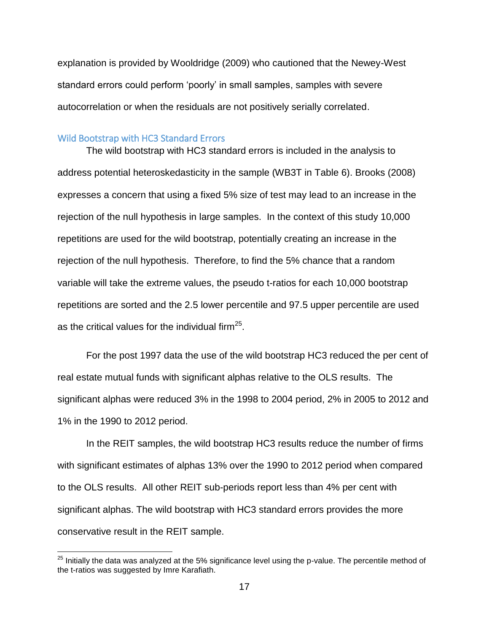explanation is provided by Wooldridge (2009) who cautioned that the Newey-West standard errors could perform "poorly" in small samples, samples with severe autocorrelation or when the residuals are not positively serially correlated.

#### Wild Bootstrap with HC3 Standard Errors

 $\overline{a}$ 

The wild bootstrap with HC3 standard errors is included in the analysis to address potential heteroskedasticity in the sample (WB3T in [Table 6\)](#page-14-0). Brooks (2008) expresses a concern that using a fixed 5% size of test may lead to an increase in the rejection of the null hypothesis in large samples. In the context of this study 10,000 repetitions are used for the wild bootstrap, potentially creating an increase in the rejection of the null hypothesis. Therefore, to find the 5% chance that a random variable will take the extreme values, the pseudo t-ratios for each 10,000 bootstrap repetitions are sorted and the 2.5 lower percentile and 97.5 upper percentile are used as the critical values for the individual firm $^{25}$ .

For the post 1997 data the use of the wild bootstrap HC3 reduced the per cent of real estate mutual funds with significant alphas relative to the OLS results. The significant alphas were reduced 3% in the 1998 to 2004 period, 2% in 2005 to 2012 and 1% in the 1990 to 2012 period.

In the REIT samples, the wild bootstrap HC3 results reduce the number of firms with significant estimates of alphas 13% over the 1990 to 2012 period when compared to the OLS results. All other REIT sub-periods report less than 4% per cent with significant alphas. The wild bootstrap with HC3 standard errors provides the more conservative result in the REIT sample.

 $^{25}$  Initially the data was analyzed at the 5% significance level using the p-value. The percentile method of the t-ratios was suggested by Imre Karafiath.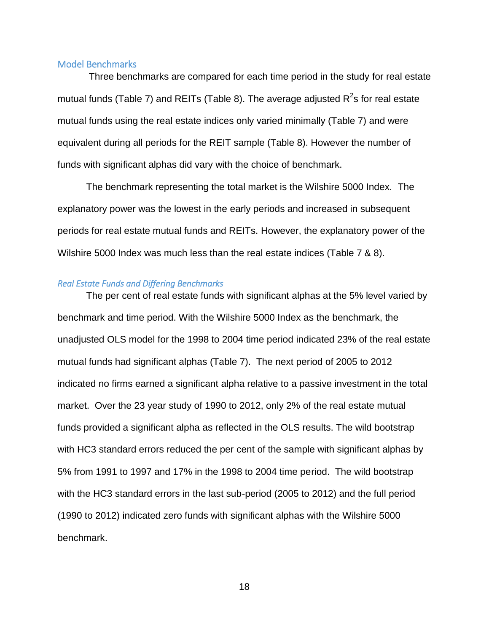### Model Benchmarks

Three benchmarks are compared for each time period in the study for real estate mutual funds (Table 7) and REITs [\(Table 8](#page-18-1)). The average adjusted R<sup>2</sup>s for real estate mutual funds using the real estate indices only varied minimally (Table 7) and were equivalent during all periods for the REIT sample (Table 8). However the number of funds with significant alphas did vary with the choice of benchmark.

The benchmark representing the total market is the Wilshire 5000 Index. The explanatory power was the lowest in the early periods and increased in subsequent periods for real estate mutual funds and REITs. However, the explanatory power of the Wilshire 5000 Index was much less than the real estate indices (Table 7 & 8).

## *Real Estate Funds and Differing Benchmarks*

The per cent of real estate funds with significant alphas at the 5% level varied by benchmark and time period. With the Wilshire 5000 Index as the benchmark, the unadjusted OLS model for the 1998 to 2004 time period indicated 23% of the real estate mutual funds had significant alphas [\(Table 7](#page-18-0)). The next period of 2005 to 2012 indicated no firms earned a significant alpha relative to a passive investment in the total market. Over the 23 year study of 1990 to 2012, only 2% of the real estate mutual funds provided a significant alpha as reflected in the OLS results. The wild bootstrap with HC3 standard errors reduced the per cent of the sample with significant alphas by 5% from 1991 to 1997 and 17% in the 1998 to 2004 time period. The wild bootstrap with the HC3 standard errors in the last sub-period (2005 to 2012) and the full period (1990 to 2012) indicated zero funds with significant alphas with the Wilshire 5000 benchmark.

18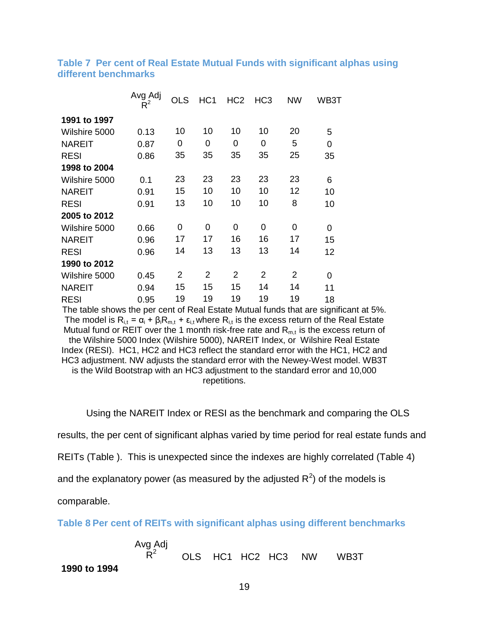|               | Avg Adj<br>$R^2$ | <b>OLS</b>     | HC <sub>1</sub> | HC <sub>2</sub> | HC <sub>3</sub> | <b>NW</b>      | WB3T            |
|---------------|------------------|----------------|-----------------|-----------------|-----------------|----------------|-----------------|
| 1991 to 1997  |                  |                |                 |                 |                 |                |                 |
| Wilshire 5000 | 0.13             | 10             | 10              | 10              | 10              | 20             | 5               |
| <b>NAREIT</b> | 0.87             | 0              | 0               | 0               | 0               | 5              | $\overline{0}$  |
| <b>RESI</b>   | 0.86             | 35             | 35              | 35              | 35              | 25             | 35              |
| 1998 to 2004  |                  |                |                 |                 |                 |                |                 |
| Wilshire 5000 | 0.1              | 23             | 23              | 23              | 23              | 23             | 6               |
| <b>NAREIT</b> | 0.91             | 15             | 10              | 10              | 10              | 12             | 10              |
| <b>RESI</b>   | 0.91             | 13             | 10              | 10              | 10              | 8              | 10              |
| 2005 to 2012  |                  |                |                 |                 |                 |                |                 |
| Wilshire 5000 | 0.66             | 0              | 0               | 0               | 0               | 0              | 0               |
| <b>NAREIT</b> | 0.96             | 17             | 17              | 16              | 16              | 17             | 15              |
| <b>RESI</b>   | 0.96             | 14             | 13              | 13              | 13              | 14             | 12 <sub>2</sub> |
| 1990 to 2012  |                  |                |                 |                 |                 |                |                 |
| Wilshire 5000 | 0.45             | $\overline{2}$ | 2               | 2               | 2               | $\overline{2}$ | 0               |
| <b>NAREIT</b> | 0.94             | 15             | 15              | 15              | 14              | 14             | 11              |
| <b>RESI</b>   | 0.95             | 19             | 19              | 19              | 19              | 19             | 18              |

<span id="page-18-0"></span>**Table 7 Per cent of Real Estate Mutual Funds with significant alphas using different benchmarks**

The table shows the per cent of Real Estate Mutual funds that are significant at 5%. The model is  $R_{i,t} = \alpha_i + \beta_i R_{m,t} + \varepsilon_{i,t}$  where  $R_{i,t}$  is the excess return of the Real Estate Mutual fund or REIT over the 1 month risk-free rate and  $R<sub>m,t</sub>$  is the excess return of the Wilshire 5000 Index (Wilshire 5000), NAREIT Index, or Wilshire Real Estate Index (RESI). HC1, HC2 and HC3 reflect the standard error with the HC1, HC2 and HC3 adjustment. NW adjusts the standard error with the Newey-West model. WB3T is the Wild Bootstrap with an HC3 adjustment to the standard error and 10,000 repetitions.

Using the NAREIT Index or RESI as the benchmark and comparing the OLS

results, the per cent of significant alphas varied by time period for real estate funds and

REITs [\(Table \)](#page-18-0). This is unexpected since the indexes are highly correlated (Table 4)

and the explanatory power (as measured by the adjusted  $R^2$ ) of the models is

comparable.

<span id="page-18-1"></span>**Table 8 Per cent of REITs with significant alphas using different benchmarks**

Avg Adj  $\overline{\mathsf{R}}^2$ OLS HC1 HC2 HC3 NW WB3T **1990 to 1994**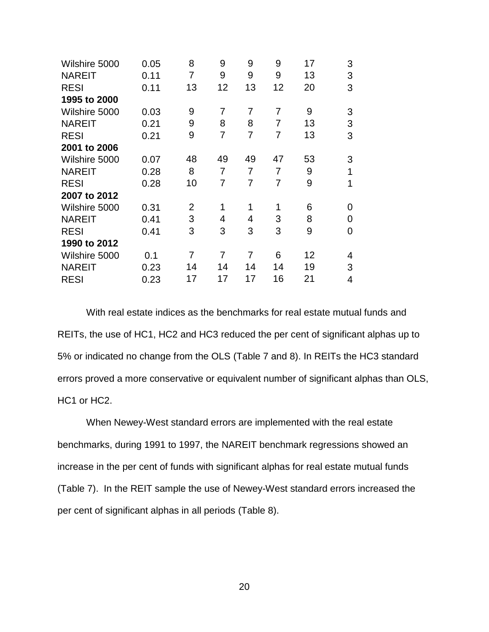| Wilshire 5000 | 0.05 | 8              | 9              | 9  | 9              | 17 | 3 |
|---------------|------|----------------|----------------|----|----------------|----|---|
| <b>NAREIT</b> | 0.11 | 7              | 9              | 9  | 9              | 13 | 3 |
| <b>RESI</b>   | 0.11 | 13             | 12             | 13 | 12             | 20 | 3 |
| 1995 to 2000  |      |                |                |    |                |    |   |
| Wilshire 5000 | 0.03 | 9              | 7              | 7  | 7              | 9  | 3 |
| <b>NAREIT</b> | 0.21 | 9              | 8              | 8  | 7              | 13 | 3 |
| <b>RESI</b>   | 0.21 | 9              | 7              | 7  | 7              | 13 | 3 |
| 2001 to 2006  |      |                |                |    |                |    |   |
| Wilshire 5000 | 0.07 | 48             | 49             | 49 | 47             | 53 | 3 |
| <b>NAREIT</b> | 0.28 | 8              | 7              | 7  | $\overline{7}$ | 9  | 1 |
| <b>RESI</b>   | 0.28 | 10             | 7              | 7  | 7              | 9  | 1 |
| 2007 to 2012  |      |                |                |    |                |    |   |
| Wilshire 5000 | 0.31 | $\overline{2}$ | 1              | 1  | 1              | 6  | 0 |
| <b>NAREIT</b> | 0.41 | 3              | 4              | 4  | 3              | 8  | 0 |
| <b>RESI</b>   | 0.41 | 3              | 3              | 3  | 3              | 9  | 0 |
| 1990 to 2012  |      |                |                |    |                |    |   |
| Wilshire 5000 | 0.1  | $\overline{7}$ | $\overline{7}$ | 7  | 6              | 12 | 4 |
| <b>NAREIT</b> | 0.23 | 14             | 14             | 14 | 14             | 19 | 3 |
| <b>RESI</b>   | 0.23 | 17             | 17             | 17 | 16             | 21 | 4 |

With real estate indices as the benchmarks for real estate mutual funds and REITs, the use of HC1, HC2 and HC3 reduced the per cent of significant alphas up to 5% or indicated no change from the OLS (Table 7 and 8). In REITs the HC3 standard errors proved a more conservative or equivalent number of significant alphas than OLS, HC1 or HC2.

When Newey-West standard errors are implemented with the real estate benchmarks, during 1991 to 1997, the NAREIT benchmark regressions showed an increase in the per cent of funds with significant alphas for real estate mutual funds (Table 7). In the REIT sample the use of Newey-West standard errors increased the per cent of significant alphas in all periods (Table 8).

20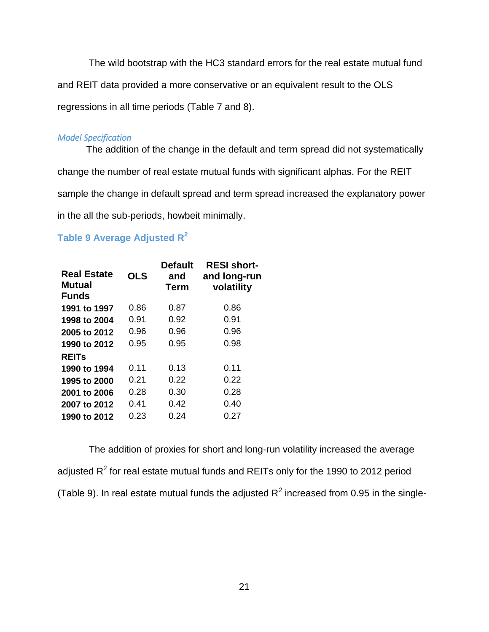The wild bootstrap with the HC3 standard errors for the real estate mutual fund and REIT data provided a more conservative or an equivalent result to the OLS regressions in all time periods (Table 7 and 8).

### *Model Specification*

The addition of the change in the default and term spread did not systematically change the number of real estate mutual funds with significant alphas. For the REIT sample the change in default spread and term spread increased the explanatory power in the all the sub-periods, howbeit minimally.

# **Table 9 Average Adjusted R<sup>2</sup>**

| <b>Real Estate</b><br>Mutual<br><b>Funds</b> | <b>OLS</b> | <b>Default</b><br>and<br><b>Term</b> | <b>RESI short-</b><br>and long-run<br>volatility |
|----------------------------------------------|------------|--------------------------------------|--------------------------------------------------|
| 1991 to 1997                                 | 0.86       | 0.87                                 | 0.86                                             |
| 1998 to 2004                                 | 0.91       | 0.92                                 | 0.91                                             |
| 2005 to 2012                                 | 0.96       | 0.96                                 | 0.96                                             |
| 1990 to 2012                                 | 0.95       | 0.95                                 | 0.98                                             |
| <b>REITS</b>                                 |            |                                      |                                                  |
| 1990 to 1994                                 | 0.11       | 0.13                                 | 0.11                                             |
| 1995 to 2000                                 | 0.21       | 0.22                                 | 0.22                                             |
| 2001 to 2006                                 | 0.28       | 0.30                                 | 0.28                                             |
| 2007 to 2012                                 | 0.41       | 0.42                                 | 0.40                                             |
| 1990 to 2012                                 | 0.23       | 0.24                                 | 0.27                                             |

The addition of proxies for short and long-run volatility increased the average adjusted R<sup>2</sup> for real estate mutual funds and REITs only for the 1990 to 2012 period (Table 9). In real estate mutual funds the adjusted  $R^2$  increased from 0.95 in the single-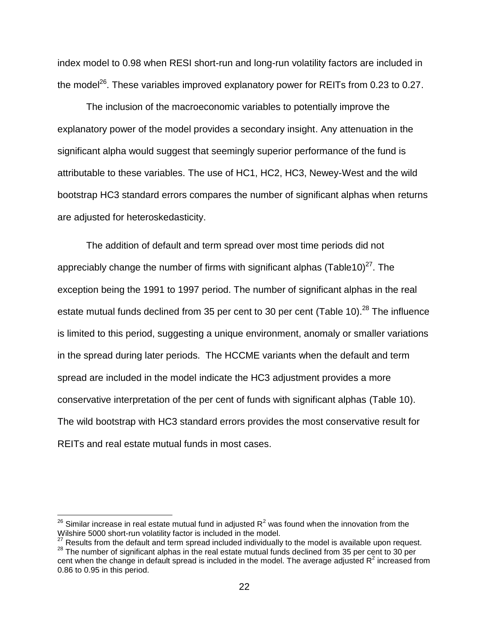index model to 0.98 when RESI short-run and long-run volatility factors are included in the model<sup>26</sup>. These variables improved explanatory power for REITs from 0.23 to 0.27.

The inclusion of the macroeconomic variables to potentially improve the explanatory power of the model provides a secondary insight. Any attenuation in the significant alpha would suggest that seemingly superior performance of the fund is attributable to these variables. The use of HC1, HC2, HC3, Newey-West and the wild bootstrap HC3 standard errors compares the number of significant alphas when returns are adjusted for heteroskedasticity.

The addition of default and term spread over most time periods did not appreciably change the number of firms with significant alphas (Table10)<sup>27</sup>. The exception being the 1991 to 1997 period. The number of significant alphas in the real estate mutual funds declined from 35 per cent to 30 per cent (Table 10).<sup>28</sup> The influence is limited to this period, suggesting a unique environment, anomaly or smaller variations in the spread during later periods. The HCCME variants when the default and term spread are included in the model indicate the HC3 adjustment provides a more conservative interpretation of the per cent of funds with significant alphas (Table 10). The wild bootstrap with HC3 standard errors provides the most conservative result for REITs and real estate mutual funds in most cases.

 $\overline{a}$ 

 $^{26}$  Similar increase in real estate mutual fund in adjusted R<sup>2</sup> was found when the innovation from the Wilshire 5000 short-run volatility factor is included in the model.

**EXTISHING SOOD SHOTT TO FIGURAL TO HOLD TO HOLD CO.** IT SHOWS AND THE MODEL IS available upon request.

<sup>28</sup> The number of significant alphas in the real estate mutual funds declined from 35 per cent to 30 per cent when the change in default spread is included in the model. The average adjusted  $R^2$  increased from 0.86 to 0.95 in this period.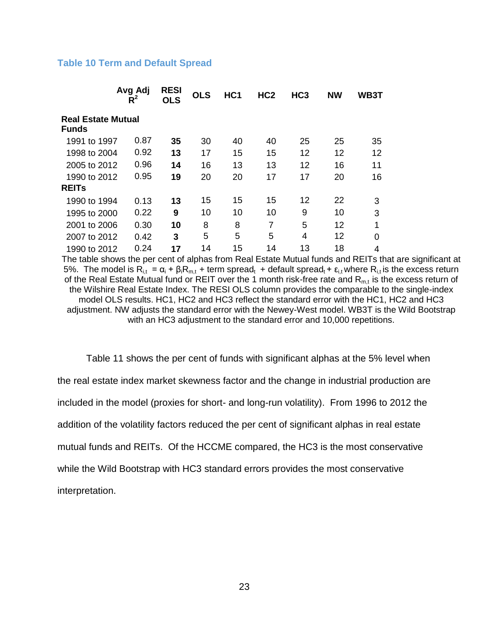## **Table 10 Term and Default Spread**

|                                           | Avg Adj<br>$R^2$ | <b>RESI</b><br><b>OLS</b> | <b>OLS</b> | HC <sub>1</sub> | HC <sub>2</sub> | HC <sub>3</sub> | <b>NW</b> | <b>WB3T</b> |
|-------------------------------------------|------------------|---------------------------|------------|-----------------|-----------------|-----------------|-----------|-------------|
| <b>Real Estate Mutual</b><br><b>Funds</b> |                  |                           |            |                 |                 |                 |           |             |
| 1991 to 1997                              | 0.87             | 35                        | 30         | 40              | 40              | 25              | 25        | 35          |
| 1998 to 2004                              | 0.92             | 13                        | 17         | 15              | 15              | 12              | 12        | 12          |
| 2005 to 2012                              | 0.96             | 14                        | 16         | 13              | 13              | 12              | 16        | 11          |
| 1990 to 2012                              | 0.95             | 19                        | 20         | 20              | 17              | 17              | 20        | 16          |
| <b>REITS</b>                              |                  |                           |            |                 |                 |                 |           |             |
| 1990 to 1994                              | 0.13             | 13                        | 15         | 15              | 15              | 12              | 22        | 3           |
| 1995 to 2000                              | 0.22             | 9                         | 10         | 10              | 10              | 9               | 10        | 3           |
| 2001 to 2006                              | 0.30             | 10                        | 8          | 8               | 7               | 5               | 12        | 1           |
| 2007 to 2012                              | 0.42             | 3                         | 5          | 5               | 5               | 4               | 12        | 0           |
| 1990 to 2012                              | 0.24             | 17                        | 14         | 15              | 14              | 13              | 18        | 4           |

The table shows the per cent of alphas from Real Estate Mutual funds and REITs that are significant at 5%. The model is  $R_{i,t} = \alpha_i + \beta_i R_{m,t}$  + term spread<sub>t</sub> + default spread<sub>t</sub> + ε<sub>i,t</sub> where  $R_{i,t}$  is the excess return of the Real Estate Mutual fund or REIT over the 1 month risk-free rate and  $R_{m,t}$  is the excess return of the Wilshire Real Estate Index. The RESI OLS column provides the comparable to the single-index model OLS results. HC1, HC2 and HC3 reflect the standard error with the HC1, HC2 and HC3 adjustment. NW adjusts the standard error with the Newey-West model. WB3T is the Wild Bootstrap with an HC3 adjustment to the standard error and 10,000 repetitions.

Table 11 shows the per cent of funds with significant alphas at the 5% level when the real estate index market skewness factor and the change in industrial production are included in the model (proxies for short- and long-run volatility). From 1996 to 2012 the addition of the volatility factors reduced the per cent of significant alphas in real estate mutual funds and REITs. Of the HCCME compared, the HC3 is the most conservative while the Wild Bootstrap with HC3 standard errors provides the most conservative interpretation.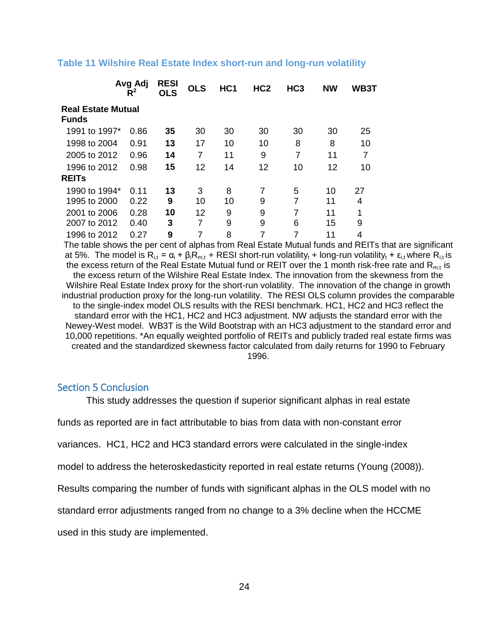|                                           | Avg Adj<br>$R^2$ | <b>RESI</b><br><b>OLS</b> | <b>OLS</b> | HC <sub>1</sub> | HC <sub>2</sub> | HC <sub>3</sub> | <b>NW</b> | <b>WB3T</b> |  |  |  |
|-------------------------------------------|------------------|---------------------------|------------|-----------------|-----------------|-----------------|-----------|-------------|--|--|--|
| <b>Real Estate Mutual</b><br><b>Funds</b> |                  |                           |            |                 |                 |                 |           |             |  |  |  |
| 1991 to 1997*                             | 0.86             | 35                        | 30         | 30              | 30              | 30              | 30        | 25          |  |  |  |
| 1998 to 2004                              | 0.91             | 13                        | 17         | 10              | 10              | 8               | 8         | 10          |  |  |  |
| 2005 to 2012                              | 0.96             | 14                        | 7          | 11              | 9               | 7               | 11        | 7           |  |  |  |
| 1996 to 2012                              | 0.98             | 15                        | 12         | 14              | 12              | 10              | 12        | 10          |  |  |  |
| <b>REITS</b>                              |                  |                           |            |                 |                 |                 |           |             |  |  |  |
| 1990 to 1994*                             | 0.11             | 13                        | 3          | 8               | 7               | 5               | 10        | 27          |  |  |  |
| 1995 to 2000                              | 0.22             | 9                         | 10         | 10              | 9               | 7               | 11        | 4           |  |  |  |
| 2001 to 2006                              | 0.28             | 10                        | 12         | 9               | 9               | 7               | 11        | 1           |  |  |  |
| 2007 to 2012                              | 0.40             | 3                         | 7          | 9               | 9               | 6               | 15        | 9           |  |  |  |
| 1996 to 2012                              | 0.27             | 9                         | 7          | 8               | 7               | 7               | 11        | 4           |  |  |  |

### **Table 11 Wilshire Real Estate Index short-run and long-run volatility**

The table shows the per cent of alphas from Real Estate Mutual funds and REITs that are significant at 5%. The model is  $R_{i,t} = \alpha_i + \beta_i R_{m,t}$  + RESI short-run volatility<sub>t</sub> + long-run volatility<sub>t</sub> +  $\varepsilon_{i,t}$  where  $R_{i,t}$  is the excess return of the Real Estate Mutual fund or REIT over the 1 month risk-free rate and  $R<sub>m,t</sub>$  is the excess return of the Wilshire Real Estate Index. The innovation from the skewness from the Wilshire Real Estate Index proxy for the short-run volatility. The innovation of the change in growth industrial production proxy for the long-run volatility. The RESI OLS column provides the comparable to the single-index model OLS results with the RESI benchmark. HC1, HC2 and HC3 reflect the standard error with the HC1, HC2 and HC3 adjustment. NW adjusts the standard error with the Newey-West model. WB3T is the Wild Bootstrap with an HC3 adjustment to the standard error and 10,000 repetitions. \*An equally weighted portfolio of REITs and publicly traded real estate firms was created and the standardized skewness factor calculated from daily returns for 1990 to February 1996.

## Section 5 Conclusion

This study addresses the question if superior significant alphas in real estate

funds as reported are in fact attributable to bias from data with non-constant error

variances. HC1, HC2 and HC3 standard errors were calculated in the single-index

model to address the heteroskedasticity reported in real estate returns (Young (2008)).

Results comparing the number of funds with significant alphas in the OLS model with no

standard error adjustments ranged from no change to a 3% decline when the HCCME

used in this study are implemented.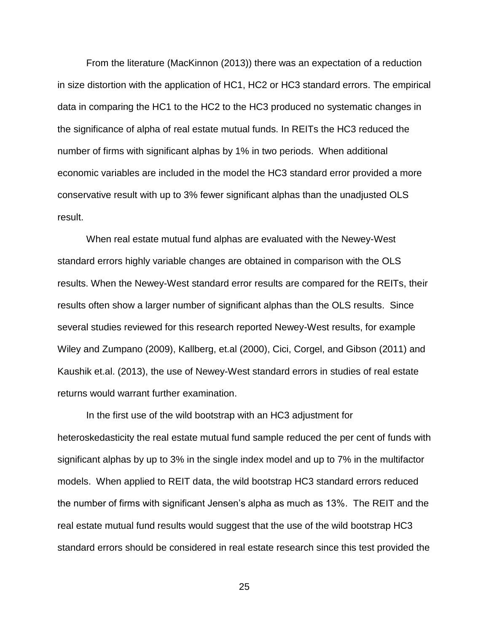From the literature (MacKinnon (2013)) there was an expectation of a reduction in size distortion with the application of HC1, HC2 or HC3 standard errors. The empirical data in comparing the HC1 to the HC2 to the HC3 produced no systematic changes in the significance of alpha of real estate mutual funds. In REITs the HC3 reduced the number of firms with significant alphas by 1% in two periods. When additional economic variables are included in the model the HC3 standard error provided a more conservative result with up to 3% fewer significant alphas than the unadjusted OLS result.

When real estate mutual fund alphas are evaluated with the Newey-West standard errors highly variable changes are obtained in comparison with the OLS results. When the Newey-West standard error results are compared for the REITs, their results often show a larger number of significant alphas than the OLS results. Since several studies reviewed for this research reported Newey-West results, for example Wiley and Zumpano (2009), Kallberg, et.al (2000), Cici, Corgel, and Gibson (2011) and Kaushik et.al. (2013), the use of Newey-West standard errors in studies of real estate returns would warrant further examination.

In the first use of the wild bootstrap with an HC3 adjustment for heteroskedasticity the real estate mutual fund sample reduced the per cent of funds with significant alphas by up to 3% in the single index model and up to 7% in the multifactor models. When applied to REIT data, the wild bootstrap HC3 standard errors reduced the number of firms with significant Jensen"s alpha as much as 13%. The REIT and the real estate mutual fund results would suggest that the use of the wild bootstrap HC3 standard errors should be considered in real estate research since this test provided the

25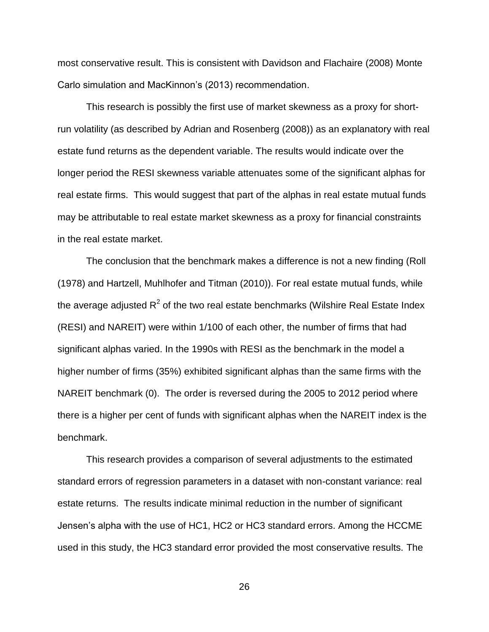most conservative result. This is consistent with Davidson and Flachaire (2008) Monte Carlo simulation and MacKinnon"s (2013) recommendation.

This research is possibly the first use of market skewness as a proxy for shortrun volatility (as described by Adrian and Rosenberg (2008)) as an explanatory with real estate fund returns as the dependent variable. The results would indicate over the longer period the RESI skewness variable attenuates some of the significant alphas for real estate firms. This would suggest that part of the alphas in real estate mutual funds may be attributable to real estate market skewness as a proxy for financial constraints in the real estate market.

The conclusion that the benchmark makes a difference is not a new finding (Roll (1978) and Hartzell, Muhlhofer and Titman (2010)). For real estate mutual funds, while the average adjusted R<sup>2</sup> of the two real estate benchmarks (Wilshire Real Estate Index (RESI) and NAREIT) were within 1/100 of each other, the number of firms that had significant alphas varied. In the 1990s with RESI as the benchmark in the model a higher number of firms (35%) exhibited significant alphas than the same firms with the NAREIT benchmark (0). The order is reversed during the 2005 to 2012 period where there is a higher per cent of funds with significant alphas when the NAREIT index is the benchmark.

This research provides a comparison of several adjustments to the estimated standard errors of regression parameters in a dataset with non-constant variance: real estate returns. The results indicate minimal reduction in the number of significant Jensen"s alpha with the use of HC1, HC2 or HC3 standard errors. Among the HCCME used in this study, the HC3 standard error provided the most conservative results. The

26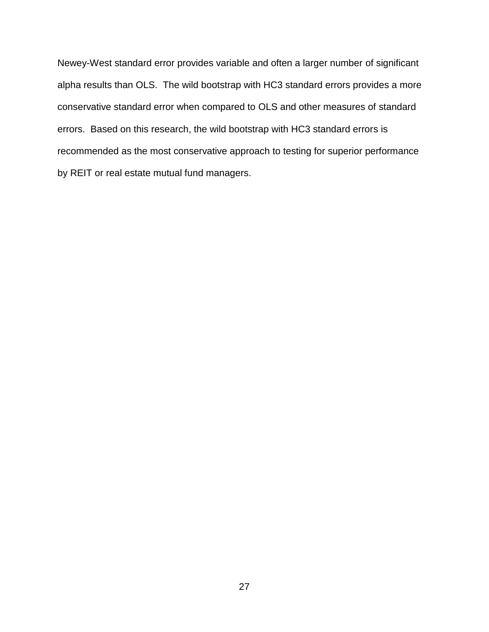Newey-West standard error provides variable and often a larger number of significant alpha results than OLS. The wild bootstrap with HC3 standard errors provides a more conservative standard error when compared to OLS and other measures of standard errors. Based on this research, the wild bootstrap with HC3 standard errors is recommended as the most conservative approach to testing for superior performance by REIT or real estate mutual fund managers.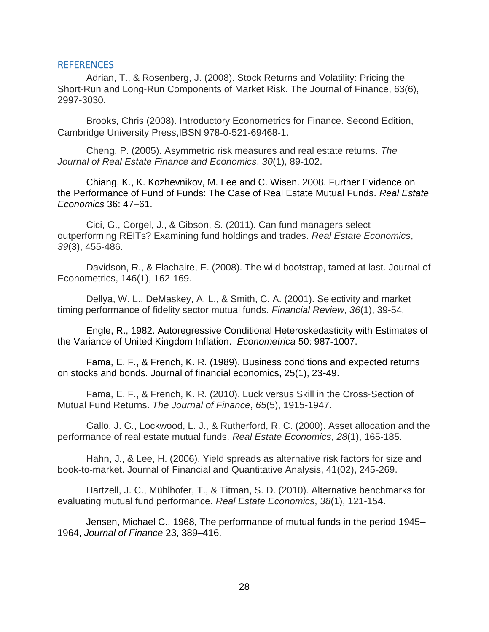### REFERENCES

Adrian, T., & Rosenberg, J. (2008). Stock Returns and Volatility: Pricing the Short‐Run and Long‐Run Components of Market Risk. The Journal of Finance, 63(6), 2997-3030.

Brooks, Chris (2008). Introductory Econometrics for Finance. Second Edition, Cambridge University Press,IBSN 978-0-521-69468-1.

Cheng, P. (2005). Asymmetric risk measures and real estate returns. *The Journal of Real Estate Finance and Economics*, *30*(1), 89-102.

Chiang, K., K. Kozhevnikov, M. Lee and C. Wisen. 2008. Further Evidence on the Performance of Fund of Funds: The Case of Real Estate Mutual Funds. *Real Estate Economics* 36: 47–61.

Cici, G., Corgel, J., & Gibson, S. (2011). Can fund managers select outperforming REITs? Examining fund holdings and trades. *Real Estate Economics*, *39*(3), 455-486.

Davidson, R., & Flachaire, E. (2008). The wild bootstrap, tamed at last. Journal of Econometrics, 146(1), 162-169.

Dellya, W. L., DeMaskey, A. L., & Smith, C. A. (2001). Selectivity and market timing performance of fidelity sector mutual funds. *Financial Review*, *36*(1), 39-54.

Engle, R., 1982. Autoregressive Conditional Heteroskedasticity with Estimates of the Variance of United Kingdom Inflation. *Econometrica* 50: 987-1007.

Fama, E. F., & French, K. R. (1989). Business conditions and expected returns on stocks and bonds. Journal of financial economics, 25(1), 23-49.

Fama, E. F., & French, K. R. (2010). Luck versus Skill in the Cross‐Section of Mutual Fund Returns. *The Journal of Finance*, *65*(5), 1915-1947.

Gallo, J. G., Lockwood, L. J., & Rutherford, R. C. (2000). Asset allocation and the performance of real estate mutual funds. *Real Estate Economics*, *28*(1), 165-185.

Hahn, J., & Lee, H. (2006). Yield spreads as alternative risk factors for size and book-to-market. Journal of Financial and Quantitative Analysis, 41(02), 245-269.

Hartzell, J. C., Mühlhofer, T., & Titman, S. D. (2010). Alternative benchmarks for evaluating mutual fund performance. *Real Estate Economics*, *38*(1), 121-154.

Jensen, Michael C., 1968, The performance of mutual funds in the period 1945– 1964, *Journal of Finance* 23, 389–416.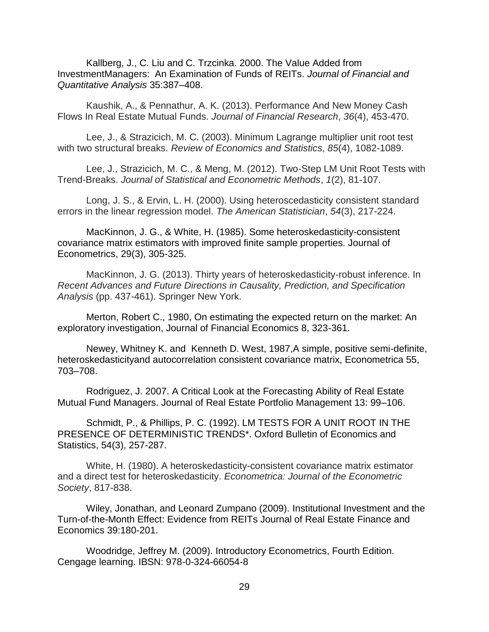Kallberg, J., C. Liu and C. Trzcinka. 2000. The Value Added from InvestmentManagers: An Examination of Funds of REITs. *Journal of Financial and Quantitative Analysis* 35:387–408.

Kaushik, A., & Pennathur, A. K. (2013). Performance And New Money Cash Flows In Real Estate Mutual Funds. *Journal of Financial Research*, *36*(4), 453-470.

Lee, J., & Strazicich, M. C. (2003). Minimum Lagrange multiplier unit root test with two structural breaks. *Review of Economics and Statistics*, *85*(4), 1082-1089.

Lee, J., Strazicich, M. C., & Meng, M. (2012). Two-Step LM Unit Root Tests with Trend-Breaks. *Journal of Statistical and Econometric Methods*, *1*(2), 81-107.

Long, J. S., & Ervin, L. H. (2000). Using heteroscedasticity consistent standard errors in the linear regression model. *The American Statistician*, *54*(3), 217-224.

MacKinnon, J. G., & White, H. (1985). Some heteroskedasticity-consistent covariance matrix estimators with improved finite sample properties. Journal of Econometrics, 29(3), 305-325.

MacKinnon, J. G. (2013). Thirty years of heteroskedasticity-robust inference. In *Recent Advances and Future Directions in Causality, Prediction, and Specification Analysis* (pp. 437-461). Springer New York.

Merton, Robert C., 1980, On estimating the expected return on the market: An exploratory investigation, Journal of Financial Economics 8, 323-361.

Newey, Whitney K. and Kenneth D. West, 1987,A simple, positive semi-definite, heteroskedasticityand autocorrelation consistent covariance matrix, Econometrica 55, 703–708.

Rodriguez, J. 2007. A Critical Look at the Forecasting Ability of Real Estate Mutual Fund Managers. Journal of Real Estate Portfolio Management 13: 99–106.

Schmidt, P., & Phillips, P. C. (1992). LM TESTS FOR A UNIT ROOT IN THE PRESENCE OF DETERMINISTIC TRENDS\*. Oxford Bulletin of Economics and Statistics, 54(3), 257-287.

White, H. (1980). A heteroskedasticity-consistent covariance matrix estimator and a direct test for heteroskedasticity. *Econometrica: Journal of the Econometric Society*, 817-838.

Wiley, Jonathan, and Leonard Zumpano (2009). Institutional Investment and the Turn-of-the-Month Effect: Evidence from REITs Journal of Real Estate Finance and Economics 39:180-201.

Woodridge, Jeffrey M. (2009). Introductory Econometrics, Fourth Edition. Cengage learning. IBSN: 978-0-324-66054-8